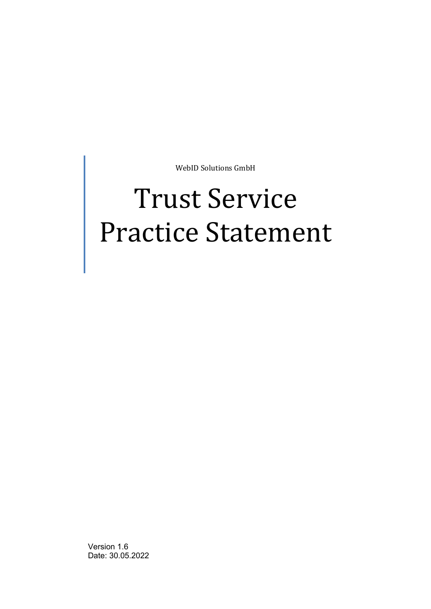WebID Solutions GmbH

# Trust Service Practice Statement

<span id="page-0-0"></span>Version 1.6 Date: 30.05.2022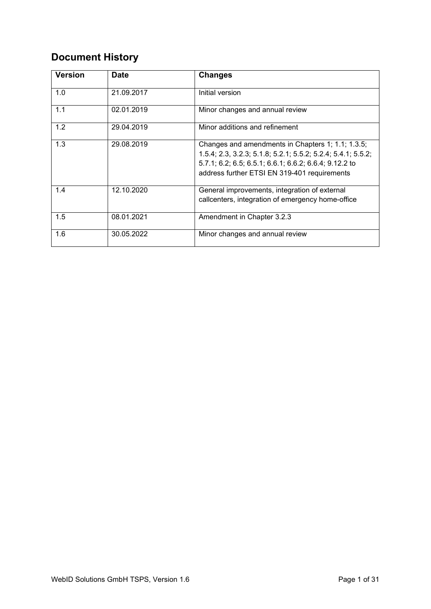# **Document History**

| <b>Version</b> | <b>Date</b> | <b>Changes</b>                                                                                                                                                                                                              |
|----------------|-------------|-----------------------------------------------------------------------------------------------------------------------------------------------------------------------------------------------------------------------------|
| 1.0            | 21.09.2017  | Initial version                                                                                                                                                                                                             |
| 1.1            | 02.01.2019  | Minor changes and annual review                                                                                                                                                                                             |
| 1.2            | 29.04.2019  | Minor additions and refinement                                                                                                                                                                                              |
| 1.3            | 29.08.2019  | Changes and amendments in Chapters 1; 1.1; 1.3.5;<br>1.5.4; 2.3, 3.2.3; 5.1.8; 5.2.1; 5.5.2; 5.2.4; 5.4.1; 5.5.2;<br>5.7.1; 6.2; 6.5; 6.5.1; 6.6.1; 6.6.2; 6.6.4; 9.12.2 to<br>address further ETSI EN 319-401 requirements |
| 1.4            | 12.10.2020  | General improvements, integration of external<br>callcenters, integration of emergency home-office                                                                                                                          |
| 1.5            | 08.01.2021  | Amendment in Chapter 3.2.3                                                                                                                                                                                                  |
| 1.6            | 30.05.2022  | Minor changes and annual review                                                                                                                                                                                             |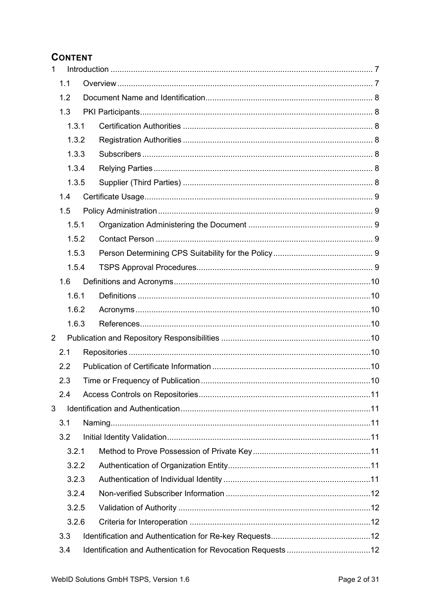# **CONTENT**

| $\mathbf{1}$   |     |       |  |  |  |
|----------------|-----|-------|--|--|--|
|                | 1.1 |       |  |  |  |
|                | 1.2 |       |  |  |  |
|                | 1.3 |       |  |  |  |
|                |     | 1.3.1 |  |  |  |
|                |     | 1.3.2 |  |  |  |
|                |     | 1.3.3 |  |  |  |
|                |     | 1.3.4 |  |  |  |
|                |     | 1.3.5 |  |  |  |
|                | 1.4 |       |  |  |  |
|                | 1.5 |       |  |  |  |
|                |     | 1.5.1 |  |  |  |
|                |     | 1.5.2 |  |  |  |
|                |     | 1.5.3 |  |  |  |
|                |     | 1.5.4 |  |  |  |
|                | 1.6 |       |  |  |  |
|                |     | 1.6.1 |  |  |  |
|                |     | 1.6.2 |  |  |  |
|                |     | 1.6.3 |  |  |  |
| $\overline{2}$ |     |       |  |  |  |
|                | 2.1 |       |  |  |  |
|                | 2.2 |       |  |  |  |
|                | 2.3 |       |  |  |  |
|                | 2.4 |       |  |  |  |
| 3              |     |       |  |  |  |
|                | 3.1 |       |  |  |  |
|                | 3.2 |       |  |  |  |
| 3.2.1          |     |       |  |  |  |
|                |     | 3.2.2 |  |  |  |
|                |     | 3.2.3 |  |  |  |
|                |     | 3.2.4 |  |  |  |
|                |     | 3.2.5 |  |  |  |
|                |     | 3.2.6 |  |  |  |
|                | 3.3 |       |  |  |  |
|                | 3.4 |       |  |  |  |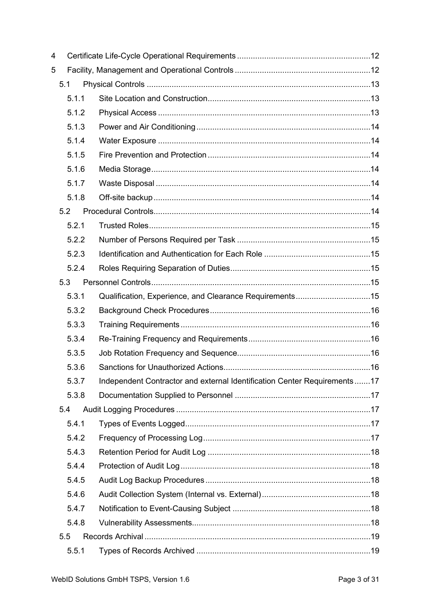| 4 |       |                                                                          |  |
|---|-------|--------------------------------------------------------------------------|--|
| 5 |       |                                                                          |  |
|   | 5.1   |                                                                          |  |
|   | 5.1.1 |                                                                          |  |
|   | 5.1.2 |                                                                          |  |
|   | 5.1.3 |                                                                          |  |
|   | 5.1.4 |                                                                          |  |
|   | 5.1.5 |                                                                          |  |
|   | 5.1.6 |                                                                          |  |
|   | 5.1.7 |                                                                          |  |
|   | 5.1.8 |                                                                          |  |
|   | 5.2   |                                                                          |  |
|   | 5.2.1 |                                                                          |  |
|   | 5.2.2 |                                                                          |  |
|   | 5.2.3 |                                                                          |  |
|   | 5.2.4 |                                                                          |  |
|   | 5.3   |                                                                          |  |
|   | 5.3.1 | Qualification, Experience, and Clearance Requirements15                  |  |
|   | 5.3.2 |                                                                          |  |
|   | 5.3.3 |                                                                          |  |
|   | 5.3.4 |                                                                          |  |
|   | 5.3.5 |                                                                          |  |
|   | 5.3.6 |                                                                          |  |
|   | 5.3.7 | Independent Contractor and external Identification Center Requirements17 |  |
|   | 5.3.8 |                                                                          |  |
|   | 5.4   |                                                                          |  |
|   | 5.4.1 |                                                                          |  |
|   | 5.4.2 |                                                                          |  |
|   | 5.4.3 |                                                                          |  |
|   | 5.4.4 |                                                                          |  |
|   | 5.4.5 |                                                                          |  |
|   | 5.4.6 |                                                                          |  |
|   | 5.4.7 |                                                                          |  |
|   | 5.4.8 |                                                                          |  |
|   | 5.5   |                                                                          |  |
|   | 5.5.1 |                                                                          |  |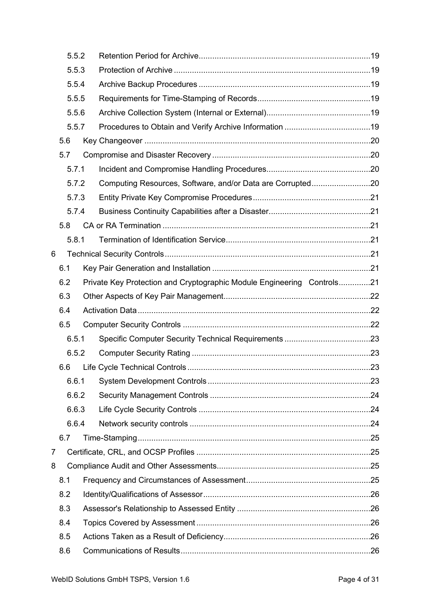| 5.5.2 |       |                                                                        |  |
|-------|-------|------------------------------------------------------------------------|--|
| 5.5.3 |       |                                                                        |  |
| 5.5.4 |       |                                                                        |  |
|       | 5.5.5 |                                                                        |  |
|       | 5.5.6 |                                                                        |  |
|       | 5.5.7 |                                                                        |  |
|       | 5.6   |                                                                        |  |
|       | 5.7   |                                                                        |  |
|       | 5.7.1 |                                                                        |  |
|       | 5.7.2 | Computing Resources, Software, and/or Data are Corrupted20             |  |
|       | 5.7.3 |                                                                        |  |
|       | 5.7.4 |                                                                        |  |
|       | 5.8   |                                                                        |  |
|       | 5.8.1 |                                                                        |  |
| 6     |       |                                                                        |  |
|       | 6.1   |                                                                        |  |
|       | 6.2   | Private Key Protection and Cryptographic Module Engineering Controls21 |  |
|       | 6.3   |                                                                        |  |
|       | 6.4   |                                                                        |  |
|       | 6.5   |                                                                        |  |
|       | 6.5.1 |                                                                        |  |
|       | 6.5.2 |                                                                        |  |
|       | 6.6   |                                                                        |  |
|       | 6.6.1 |                                                                        |  |
|       | 6.6.2 |                                                                        |  |
|       | 6.6.3 |                                                                        |  |
|       | 6.6.4 |                                                                        |  |
|       | 6.7   |                                                                        |  |
| 7     |       |                                                                        |  |
| 8     |       |                                                                        |  |
|       | 8.1   |                                                                        |  |
|       | 8.2   |                                                                        |  |
|       | 8.3   |                                                                        |  |
|       | 8.4   |                                                                        |  |
|       | 8.5   |                                                                        |  |
|       | 8.6   |                                                                        |  |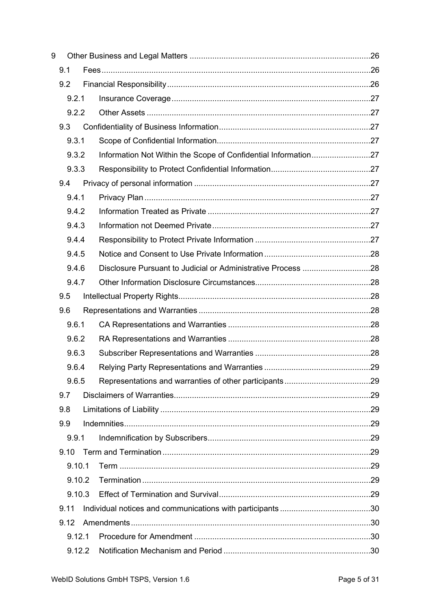| 9      |                                                                |  |
|--------|----------------------------------------------------------------|--|
| 9.1    |                                                                |  |
| 9.2    |                                                                |  |
| 9.2.1  |                                                                |  |
| 9.2.2  |                                                                |  |
| 9.3    |                                                                |  |
| 9.3.1  |                                                                |  |
| 9.3.2  | Information Not Within the Scope of Confidential Information27 |  |
| 9.3.3  |                                                                |  |
| 9.4    |                                                                |  |
| 9.4.1  |                                                                |  |
| 9.4.2  |                                                                |  |
| 9.4.3  |                                                                |  |
| 9.4.4  |                                                                |  |
| 9.4.5  |                                                                |  |
| 9.4.6  | Disclosure Pursuant to Judicial or Administrative Process 28   |  |
| 9.4.7  |                                                                |  |
| 9.5    |                                                                |  |
| 9.6    |                                                                |  |
| 9.6.1  |                                                                |  |
| 9.6.2  |                                                                |  |
| 9.6.3  |                                                                |  |
| 9.6.4  |                                                                |  |
| 9.6.5  |                                                                |  |
| 9.7    |                                                                |  |
| 9.8    |                                                                |  |
| 9.9    |                                                                |  |
| 9.9.1  |                                                                |  |
| 9.10   |                                                                |  |
| 9.10.1 |                                                                |  |
| 9.10.2 |                                                                |  |
| 9.10.3 |                                                                |  |
| 9.11   |                                                                |  |
| 9.12   |                                                                |  |
| 9.12.1 |                                                                |  |
| 9.12.2 |                                                                |  |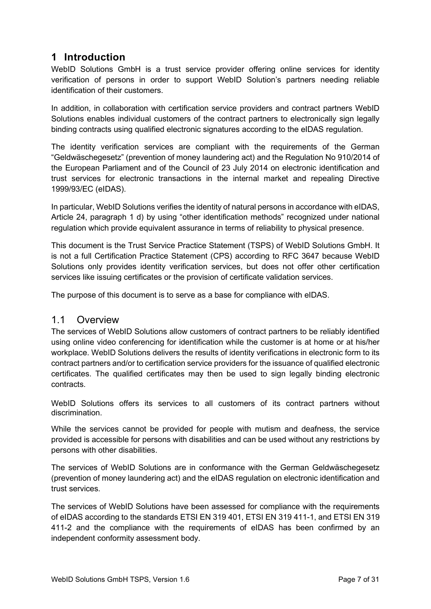# <span id="page-7-0"></span>**1 Introduction**

WebID Solutions GmbH is a trust service provider offering online services for identity verification of persons in order to support WebID Solution's partners needing reliable identification of their customers.

In addition, in collaboration with certification service providers and contract partners WebID Solutions enables individual customers of the contract partners to electronically sign legally binding contracts using qualified electronic signatures according to the eIDAS regulation.

The identity verification services are compliant with the requirements of the German "Geldwäschegesetz" (prevention of money laundering act) and the Regulation No 910/2014 of the European Parliament and of the Council of 23 July 2014 on electronic identification and trust services for electronic transactions in the internal market and repealing Directive 1999/93/EC (eIDAS).

In particular, WebID Solutions verifies the identity of natural persons in accordance with eIDAS, Article 24, paragraph 1 d) by using "other identification methods" recognized under national regulation which provide equivalent assurance in terms of reliability to physical presence.

This document is the Trust Service Practice Statement (TSPS) of WebID Solutions GmbH. It is not a full Certification Practice Statement (CPS) according to RFC 3647 because WebID Solutions only provides identity verification services, but does not offer other certification services like issuing certificates or the provision of certificate validation services.

The purpose of this document is to serve as a base for compliance with eIDAS.

#### <span id="page-7-1"></span>1.1 Overview

The services of WebID Solutions allow customers of contract partners to be reliably identified using online video conferencing for identification while the customer is at home or at his/her workplace. WebID Solutions delivers the results of identity verifications in electronic form to its contract partners and/or to certification service providers for the issuance of qualified electronic certificates. The qualified certificates may then be used to sign legally binding electronic contracts.

WebID Solutions offers its services to all customers of its contract partners without discrimination.

While the services cannot be provided for people with mutism and deafness, the service provided is accessible for persons with disabilities and can be used without any restrictions by persons with other disabilities.

The services of WebID Solutions are in conformance with the German Geldwäschegesetz (prevention of money laundering act) and the eIDAS regulation on electronic identification and trust services.

The services of WebID Solutions have been assessed for compliance with the requirements of eIDAS according to the standards ETSI EN 319 401, ETSI EN 319 411-1, and ETSI EN 319 411-2 and the compliance with the requirements of eIDAS has been confirmed by an independent conformity assessment body.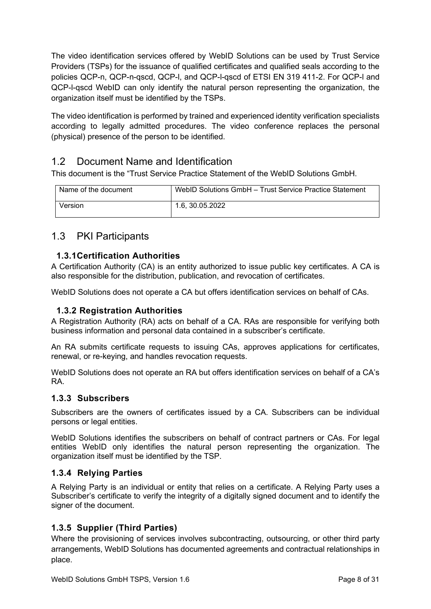The video identification services offered by WebID Solutions can be used by Trust Service Providers (TSPs) for the issuance of qualified certificates and qualified seals according to the policies QCP-n, QCP-n-qscd, QCP-l, and QCP-l-qscd of ETSI EN 319 411-2. For QCP-l and QCP-l-qscd WebID can only identify the natural person representing the organization, the organization itself must be identified by the TSPs.

The video identification is performed by trained and experienced identity verification specialists according to legally admitted procedures. The video conference replaces the personal (physical) presence of the person to be identified.

## <span id="page-8-0"></span>1.2 Document Name and Identification

This document is the "Trust Service Practice Statement of the WebID Solutions GmbH.

| Name of the document | WebID Solutions GmbH - Trust Service Practice Statement |
|----------------------|---------------------------------------------------------|
| Version              | 1.6. 30.05.2022                                         |

## <span id="page-8-1"></span>1.3 PKI Participants

#### <span id="page-8-2"></span>**1.3.1Certification Authorities**

A Certification Authority (CA) is an entity authorized to issue public key certificates. A CA is also responsible for the distribution, publication, and revocation of certificates.

WebID Solutions does not operate a CA but offers identification services on behalf of CAs.

#### <span id="page-8-3"></span>**1.3.2 Registration Authorities**

A Registration Authority (RA) acts on behalf of a CA. RAs are responsible for verifying both business information and personal data contained in a subscriber's certificate.

An RA submits certificate requests to issuing CAs, approves applications for certificates, renewal, or re-keying, and handles revocation requests.

WebID Solutions does not operate an RA but offers identification services on behalf of a CA's RA.

#### <span id="page-8-4"></span>**1.3.3 Subscribers**

Subscribers are the owners of certificates issued by a CA. Subscribers can be individual persons or legal entities.

WebID Solutions identifies the subscribers on behalf of contract partners or CAs. For legal entities WebID only identifies the natural person representing the organization. The organization itself must be identified by the TSP.

#### <span id="page-8-5"></span>**1.3.4 Relying Parties**

A Relying Party is an individual or entity that relies on a certificate. A Relying Party uses a Subscriber's certificate to verify the integrity of a digitally signed document and to identify the signer of the document.

#### <span id="page-8-6"></span>**1.3.5 Supplier (Third Parties)**

Where the provisioning of services involves subcontracting, outsourcing, or other third party arrangements, WebID Solutions has documented agreements and contractual relationships in place.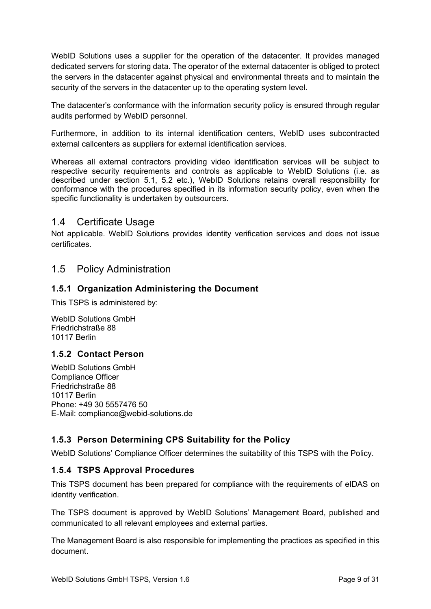WebID Solutions uses a supplier for the operation of the datacenter. It provides managed dedicated servers for storing data. The operator of the external datacenter is obliged to protect the servers in the datacenter against physical and environmental threats and to maintain the security of the servers in the datacenter up to the operating system level.

The datacenter's conformance with the information security policy is ensured through regular audits performed by WebID personnel.

Furthermore, in addition to its internal identification centers, WebID uses subcontracted external callcenters as suppliers for external identification services.

Whereas all external contractors providing video identification services will be subject to respective security requirements and controls as applicable to WebID Solutions (i.e. as described under section 5.1, 5.2 etc.), WebID Solutions retains overall responsibility for conformance with the procedures specified in its information security policy, even when the specific functionality is undertaken by outsourcers.

## <span id="page-9-0"></span>1.4 Certificate Usage

Not applicable. WebID Solutions provides identity verification services and does not issue certificates.

## <span id="page-9-1"></span>1.5 Policy Administration

#### <span id="page-9-2"></span>**1.5.1 Organization Administering the Document**

This TSPS is administered by:

WebID Solutions GmbH Friedrichstraße 88 10117 Berlin

#### <span id="page-9-3"></span>**1.5.2 Contact Person**

WebID Solutions GmbH Compliance Officer Friedrichstraße 88 10117 Berlin Phone: +49 30 5557476 50 E-Mail: compliance@webid-solutions.de

#### <span id="page-9-4"></span>**1.5.3 Person Determining CPS Suitability for the Policy**

WebID Solutions' Compliance Officer determines the suitability of this TSPS with the Policy.

#### <span id="page-9-5"></span>**1.5.4 TSPS Approval Procedures**

This TSPS document has been prepared for compliance with the requirements of eIDAS on identity verification.

The TSPS document is approved by WebID Solutions' Management Board, published and communicated to all relevant employees and external parties.

The Management Board is also responsible for implementing the practices as specified in this document.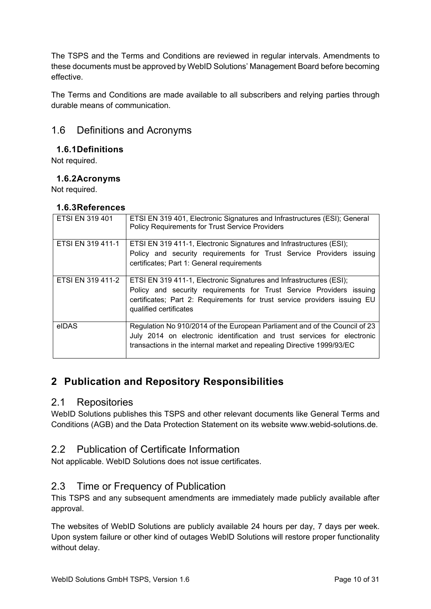The TSPS and the Terms and Conditions are reviewed in regular intervals. Amendments to these documents must be approved by WebID Solutions' Management Board before becoming effective.

The Terms and Conditions are made available to all subscribers and relying parties through durable means of communication.

# <span id="page-10-0"></span>1.6 Definitions and Acronyms

#### <span id="page-10-1"></span>**1.6.1Definitions**

Not required.

#### <span id="page-10-2"></span>**1.6.2Acronyms**

Not required.

#### <span id="page-10-3"></span>**1.6.3References**

| ETSI EN 319 401   | ETSI EN 319 401, Electronic Signatures and Infrastructures (ESI); General<br><b>Policy Requirements for Trust Service Providers</b>                                                                                                                |
|-------------------|----------------------------------------------------------------------------------------------------------------------------------------------------------------------------------------------------------------------------------------------------|
| ETSI EN 319 411-1 | ETSI EN 319 411-1, Electronic Signatures and Infrastructures (ESI);<br>Policy and security requirements for Trust Service Providers issuing<br>certificates; Part 1: General requirements                                                          |
| ETSI EN 319 411-2 | ETSI EN 319 411-1, Electronic Signatures and Infrastructures (ESI);<br>Policy and security requirements for Trust Service Providers issuing<br>certificates; Part 2: Requirements for trust service providers issuing EU<br>qualified certificates |
| eIDAS             | Regulation No 910/2014 of the European Parliament and of the Council of 23<br>July 2014 on electronic identification and trust services for electronic<br>transactions in the internal market and repealing Directive 1999/93/EC                   |

# <span id="page-10-4"></span>**2 Publication and Repository Responsibilities**

#### <span id="page-10-5"></span>2.1 Repositories

WebID Solutions publishes this TSPS and other relevant documents like General Terms and Conditions (AGB) and the Data Protection Statement on its website www.webid-solutions.de.

## <span id="page-10-6"></span>2.2 Publication of Certificate Information

Not applicable. WebID Solutions does not issue certificates.

# <span id="page-10-7"></span>2.3 Time or Frequency of Publication

This TSPS and any subsequent amendments are immediately made publicly available after approval.

The websites of WebID Solutions are publicly available 24 hours per day, 7 days per week. Upon system failure or other kind of outages WebID Solutions will restore proper functionality without delay.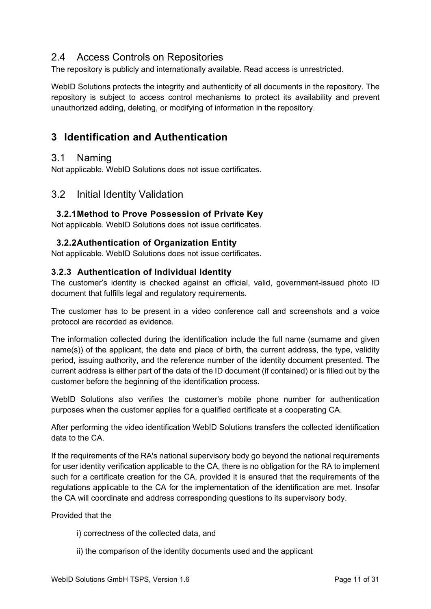## <span id="page-11-0"></span>2.4 Access Controls on Repositories

The repository is publicly and internationally available. Read access is unrestricted.

WebID Solutions protects the integrity and authenticity of all documents in the repository. The repository is subject to access control mechanisms to protect its availability and prevent unauthorized adding, deleting, or modifying of information in the repository.

# <span id="page-11-1"></span>**3 Identification and Authentication**

## <span id="page-11-2"></span>3.1 Naming

Not applicable. WebID Solutions does not issue certificates.

## <span id="page-11-3"></span>3.2 Initial Identity Validation

#### <span id="page-11-4"></span>**3.2.1Method to Prove Possession of Private Key**

Not applicable. WebID Solutions does not issue certificates.

#### <span id="page-11-5"></span>**3.2.2Authentication of Organization Entity**

Not applicable. WebID Solutions does not issue certificates.

#### <span id="page-11-6"></span>**3.2.3 Authentication of Individual Identity**

The customer's identity is checked against an official, valid, government-issued photo ID document that fulfills legal and regulatory requirements.

The customer has to be present in a video conference call and screenshots and a voice protocol are recorded as evidence.

The information collected during the identification include the full name (surname and given name(s)) of the applicant, the date and place of birth, the current address, the type, validity period, issuing authority, and the reference number of the identity document presented. The current address is either part of the data of the ID document (if contained) or is filled out by the customer before the beginning of the identification process.

WebID Solutions also verifies the customer's mobile phone number for authentication purposes when the customer applies for a qualified certificate at a cooperating CA.

After performing the video identification WebID Solutions transfers the collected identification data to the CA.

If the requirements of the RA's national supervisory body go beyond the national requirements for user identity verification applicable to the CA, there is no obligation for the RA to implement such for a certificate creation for the CA, provided it is ensured that the requirements of the regulations applicable to the CA for the implementation of the identification are met. Insofar the CA will coordinate and address corresponding questions to its supervisory body.

#### Provided that the

- i) correctness of the collected data, and
- ii) the comparison of the identity documents used and the applicant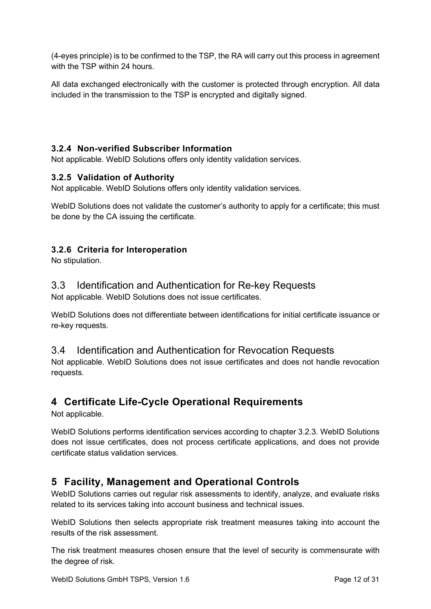(4-eyes principle) is to be confirmed to the TSP, the RA will carry out this process in agreement with the TSP within 24 hours.

All data exchanged electronically with the customer is protected through encryption. All data included in the transmission to the TSP is encrypted and digitally signed.

## <span id="page-12-0"></span>**3.2.4 Non-verified Subscriber Information**

Not applicable. WebID Solutions offers only identity validation services.

#### <span id="page-12-1"></span>**3.2.5 Validation of Authority**

Not applicable. WebID Solutions offers only identity validation services.

WebID Solutions does not validate the customer's authority to apply for a certificate; this must be done by the CA issuing the certificate.

#### <span id="page-12-2"></span>**3.2.6 Criteria for Interoperation**

No stipulation.

## <span id="page-12-3"></span>3.3 Identification and Authentication for Re-key Requests

Not applicable. WebID Solutions does not issue certificates.

WebID Solutions does not differentiate between identifications for initial certificate issuance or re-key requests.

## <span id="page-12-4"></span>3.4 Identification and Authentication for Revocation Requests

Not applicable. WebID Solutions does not issue certificates and does not handle revocation requests.

# <span id="page-12-5"></span>**4 Certificate Life-Cycle Operational Requirements**

Not applicable.

WebID Solutions performs identification services according to chapter [3.2.3.](#page-11-6) WebID Solutions does not issue certificates, does not process certificate applications, and does not provide certificate status validation services.

# <span id="page-12-6"></span>**5 Facility, Management and Operational Controls**

WebID Solutions carries out regular risk assessments to identify, analyze, and evaluate risks related to its services taking into account business and technical issues.

WebID Solutions then selects appropriate risk treatment measures taking into account the results of the risk assessment.

The risk treatment measures chosen ensure that the level of security is commensurate with the degree of risk.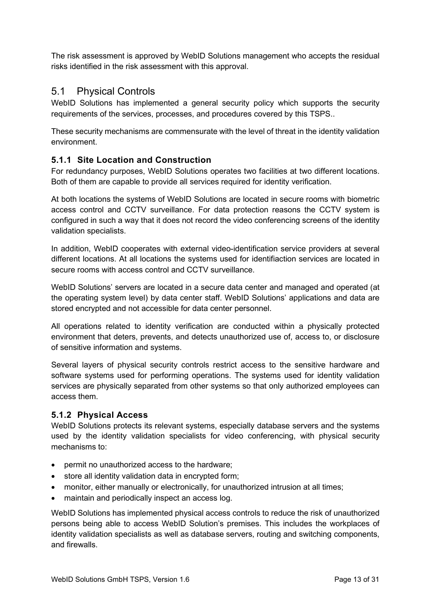The risk assessment is approved by WebID Solutions management who accepts the residual risks identified in the risk assessment with this approval.

## <span id="page-13-0"></span>5.1 Physical Controls

WebID Solutions has implemented a general security policy which supports the security requirements of the services, processes, and procedures covered by this TSPS..

These security mechanisms are commensurate with the level of threat in the identity validation environment.

#### <span id="page-13-1"></span>**5.1.1 Site Location and Construction**

For redundancy purposes, WebID Solutions operates two facilities at two different locations. Both of them are capable to provide all services required for identity verification.

At both locations the systems of WebID Solutions are located in secure rooms with biometric access control and CCTV surveillance. For data protection reasons the CCTV system is configured in such a way that it does not record the video conferencing screens of the identity validation specialists.

In addition, WebID cooperates with external video-identification service providers at several different locations. At all locations the systems used for identifiaction services are located in secure rooms with access control and CCTV surveillance.

WebID Solutions' servers are located in a secure data center and managed and operated (at the operating system level) by data center staff. WebID Solutions' applications and data are stored encrypted and not accessible for data center personnel.

All operations related to identity verification are conducted within a physically protected environment that deters, prevents, and detects unauthorized use of, access to, or disclosure of sensitive information and systems.

Several layers of physical security controls restrict access to the sensitive hardware and software systems used for performing operations. The systems used for identity validation services are physically separated from other systems so that only authorized employees can access them.

#### <span id="page-13-2"></span>**5.1.2 Physical Access**

WebID Solutions protects its relevant systems, especially database servers and the systems used by the identity validation specialists for video conferencing, with physical security mechanisms to:

- permit no unauthorized access to the hardware;
- store all identity validation data in encrypted form;
- monitor, either manually or electronically, for unauthorized intrusion at all times;
- maintain and periodically inspect an access log.

WebID Solutions has implemented physical access controls to reduce the risk of unauthorized persons being able to access WebID Solution's premises. This includes the workplaces of identity validation specialists as well as database servers, routing and switching components, and firewalls.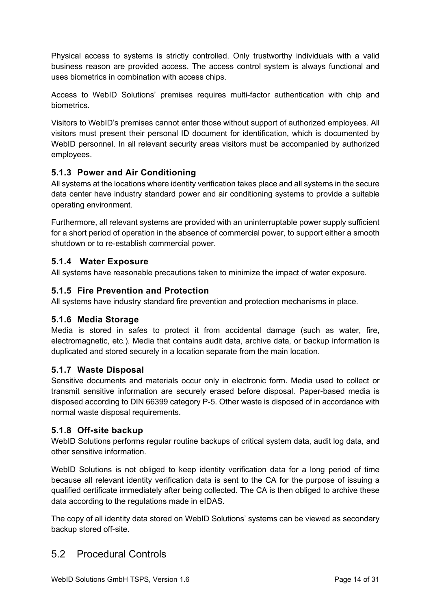Physical access to systems is strictly controlled. Only trustworthy individuals with a valid business reason are provided access. The access control system is always functional and uses biometrics in combination with access chips.

Access to WebID Solutions' premises requires multi-factor authentication with chip and biometrics.

Visitors to WebID's premises cannot enter those without support of authorized employees. All visitors must present their personal ID document for identification, which is documented by WebID personnel. In all relevant security areas visitors must be accompanied by authorized employees.

#### <span id="page-14-0"></span>**5.1.3 Power and Air Conditioning**

All systems at the locations where identity verification takes place and all systems in the secure data center have industry standard power and air conditioning systems to provide a suitable operating environment.

Furthermore, all relevant systems are provided with an uninterruptable power supply sufficient for a short period of operation in the absence of commercial power, to support either a smooth shutdown or to re-establish commercial power.

#### <span id="page-14-1"></span>**5.1.4 Water Exposure**

All systems have reasonable precautions taken to minimize the impact of water exposure.

#### <span id="page-14-2"></span>**5.1.5 Fire Prevention and Protection**

All systems have industry standard fire prevention and protection mechanisms in place.

#### <span id="page-14-3"></span>**5.1.6 Media Storage**

Media is stored in safes to protect it from accidental damage (such as water, fire, electromagnetic, etc.). Media that contains audit data, archive data, or backup information is duplicated and stored securely in a location separate from the main location.

#### <span id="page-14-4"></span>**5.1.7 Waste Disposal**

Sensitive documents and materials occur only in electronic form. Media used to collect or transmit sensitive information are securely erased before disposal. Paper-based media is disposed according to DIN 66399 category P-5. Other waste is disposed of in accordance with normal waste disposal requirements.

#### <span id="page-14-5"></span>**5.1.8 Off-site backup**

WebID Solutions performs regular routine backups of critical system data, audit log data, and other sensitive information.

WebID Solutions is not obliged to keep identity verification data for a long period of time because all relevant identity verification data is sent to the CA for the purpose of issuing a qualified certificate immediately after being collected. The CA is then obliged to archive these data according to the regulations made in eIDAS.

The copy of all identity data stored on WebID Solutions' systems can be viewed as secondary backup stored off-site.

## <span id="page-14-6"></span>5.2 Procedural Controls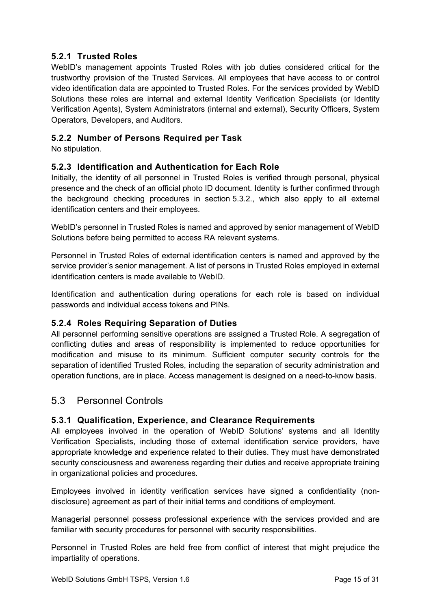#### <span id="page-15-0"></span>**5.2.1 Trusted Roles**

WebID's management appoints Trusted Roles with job duties considered critical for the trustworthy provision of the Trusted Services. All employees that have access to or control video identification data are appointed to Trusted Roles. For the services provided by WebID Solutions these roles are internal and external Identity Verification Specialists (or Identity Verification Agents), System Administrators (internal and external), Security Officers, System Operators, Developers, and Auditors.

## <span id="page-15-1"></span>**5.2.2 Number of Persons Required per Task**

No stipulation.

#### <span id="page-15-2"></span>**5.2.3 Identification and Authentication for Each Role**

Initially, the identity of all personnel in Trusted Roles is verified through personal, physical presence and the check of an official photo ID document. Identity is further confirmed through the background checking procedures in section [5.3.2.](#page-16-0), which also apply to all external identification centers and their employees.

WebID's personnel in Trusted Roles is named and approved by senior management of WebID Solutions before being permitted to access RA relevant systems.

Personnel in Trusted Roles of external identification centers is named and approved by the service provider's senior management. A list of persons in Trusted Roles employed in external identification centers is made available to WebID.

Identification and authentication during operations for each role is based on individual passwords and individual access tokens and PINs.

#### <span id="page-15-3"></span>**5.2.4 Roles Requiring Separation of Duties**

All personnel performing sensitive operations are assigned a Trusted Role. A segregation of conflicting duties and areas of responsibility is implemented to reduce opportunities for modification and misuse to its minimum. Sufficient computer security controls for the separation of identified Trusted Roles, including the separation of security administration and operation functions, are in place. Access management is designed on a need-to-know basis.

## <span id="page-15-4"></span>5.3 Personnel Controls

#### <span id="page-15-5"></span>**5.3.1 Qualification, Experience, and Clearance Requirements**

All employees involved in the operation of WebID Solutions' systems and all Identity Verification Specialists, including those of external identification service providers, have appropriate knowledge and experience related to their duties. They must have demonstrated security consciousness and awareness regarding their duties and receive appropriate training in organizational policies and procedures.

Employees involved in identity verification services have signed a confidentiality (nondisclosure) agreement as part of their initial terms and conditions of employment.

Managerial personnel possess professional experience with the services provided and are familiar with security procedures for personnel with security responsibilities.

Personnel in Trusted Roles are held free from conflict of interest that might prejudice the impartiality of operations.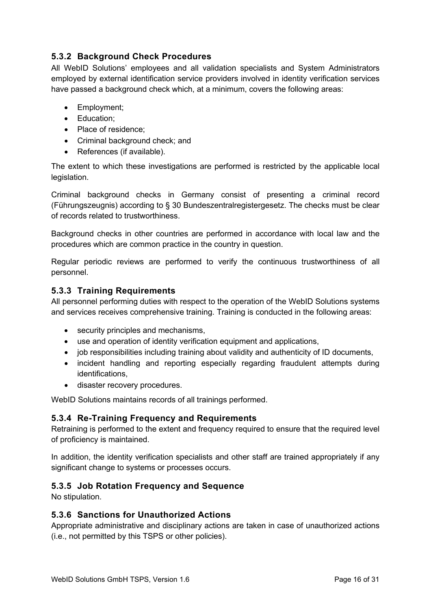## <span id="page-16-0"></span>**5.3.2 Background Check Procedures**

All WebID Solutions' employees and all validation specialists and System Administrators employed by external identification service providers involved in identity verification services have passed a background check which, at a minimum, covers the following areas:

- Employment;
- Education;
- Place of residence;
- Criminal background check; and
- References (if available).

The extent to which these investigations are performed is restricted by the applicable local legislation.

Criminal background checks in Germany consist of presenting a criminal record (Führungszeugnis) according to § 30 Bundeszentralregistergesetz. The checks must be clear of records related to trustworthiness.

Background checks in other countries are performed in accordance with local law and the procedures which are common practice in the country in question.

Regular periodic reviews are performed to verify the continuous trustworthiness of all personnel.

#### <span id="page-16-1"></span>**5.3.3 Training Requirements**

All personnel performing duties with respect to the operation of the WebID Solutions systems and services receives comprehensive training. Training is conducted in the following areas:

- security principles and mechanisms,
- use and operation of identity verification equipment and applications,
- job responsibilities including training about validity and authenticity of ID documents,
- incident handling and reporting especially regarding fraudulent attempts during identifications,
- disaster recovery procedures.

WebID Solutions maintains records of all trainings performed.

#### <span id="page-16-2"></span>**5.3.4 Re-Training Frequency and Requirements**

Retraining is performed to the extent and frequency required to ensure that the required level of proficiency is maintained.

In addition, the identity verification specialists and other staff are trained appropriately if any significant change to systems or processes occurs.

#### <span id="page-16-3"></span>**5.3.5 Job Rotation Frequency and Sequence**

No stipulation.

#### <span id="page-16-4"></span>**5.3.6 Sanctions for Unauthorized Actions**

Appropriate administrative and disciplinary actions are taken in case of unauthorized actions (i.e., not permitted by this TSPS or other policies).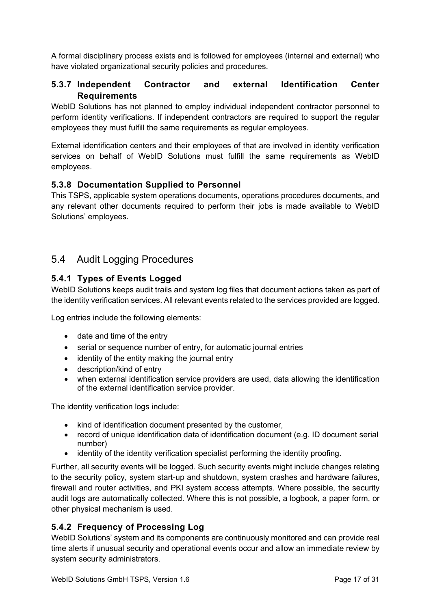A formal disciplinary process exists and is followed for employees (internal and external) who have violated organizational security policies and procedures.

#### <span id="page-17-0"></span>**5.3.7 Independent Contractor and external Identification Center Requirements**

WebID Solutions has not planned to employ individual independent contractor personnel to perform identity verifications. If independent contractors are required to support the regular employees they must fulfill the same requirements as regular employees.

External identification centers and their employees of that are involved in identity verification services on behalf of WebID Solutions must fulfill the same requirements as WebID employees.

#### <span id="page-17-1"></span>**5.3.8 Documentation Supplied to Personnel**

This TSPS, applicable system operations documents, operations procedures documents, and any relevant other documents required to perform their jobs is made available to WebID Solutions' employees.

## <span id="page-17-2"></span>5.4 Audit Logging Procedures

#### <span id="page-17-3"></span>**5.4.1 Types of Events Logged**

WebID Solutions keeps audit trails and system log files that document actions taken as part of the identity verification services. All relevant events related to the services provided are logged.

Log entries include the following elements:

- date and time of the entry
- serial or sequence number of entry, for automatic journal entries
- identity of the entity making the journal entry
- description/kind of entry
- when external identification service providers are used, data allowing the identification of the external identification service provider.

The identity verification logs include:

- kind of identification document presented by the customer,
- record of unique identification data of identification document (e.g. ID document serial number)
- identity of the identity verification specialist performing the identity proofing.

Further, all security events will be logged. Such security events might include changes relating to the security policy, system start-up and shutdown, system crashes and hardware failures, firewall and router activities, and PKI system access attempts. Where possible, the security audit logs are automatically collected. Where this is not possible, a logbook, a paper form, or other physical mechanism is used.

#### <span id="page-17-4"></span>**5.4.2 Frequency of Processing Log**

WebID Solutions' system and its components are continuously monitored and can provide real time alerts if unusual security and operational events occur and allow an immediate review by system security administrators.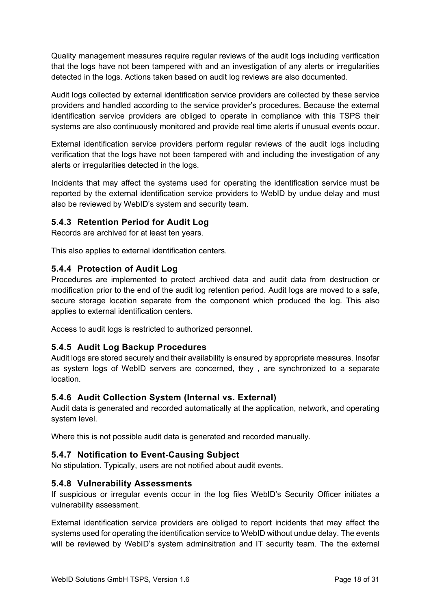Quality management measures require regular reviews of the audit logs including verification that the logs have not been tampered with and an investigation of any alerts or irregularities detected in the logs. Actions taken based on audit log reviews are also documented.

Audit logs collected by external identification service providers are collected by these service providers and handled according to the service provider's procedures. Because the external identification service providers are obliged to operate in compliance with this TSPS their systems are also continuously monitored and provide real time alerts if unusual events occur.

External identification service providers perform regular reviews of the audit logs including verification that the logs have not been tampered with and including the investigation of any alerts or irregularities detected in the logs.

Incidents that may affect the systems used for operating the identification service must be reported by the external identification service providers to WebID by undue delay and must also be reviewed by WebID's system and security team.

#### <span id="page-18-0"></span>**5.4.3 Retention Period for Audit Log**

Records are archived for at least ten years.

This also applies to external identification centers.

#### <span id="page-18-1"></span>**5.4.4 Protection of Audit Log**

Procedures are implemented to protect archived data and audit data from destruction or modification prior to the end of the audit log retention period. Audit logs are moved to a safe, secure storage location separate from the component which produced the log. This also applies to external identification centers.

Access to audit logs is restricted to authorized personnel.

#### <span id="page-18-2"></span>**5.4.5 Audit Log Backup Procedures**

Audit logs are stored securely and their availability is ensured by appropriate measures. Insofar as system logs of WebID servers are concerned, they , are synchronized to a separate location.

#### <span id="page-18-3"></span>**5.4.6 Audit Collection System (Internal vs. External)**

Audit data is generated and recorded automatically at the application, network, and operating system level.

Where this is not possible audit data is generated and recorded manually.

#### <span id="page-18-4"></span>**5.4.7 Notification to Event-Causing Subject**

No stipulation. Typically, users are not notified about audit events.

#### <span id="page-18-5"></span>**5.4.8 Vulnerability Assessments**

If suspicious or irregular events occur in the log files WebID's Security Officer initiates a vulnerability assessment.

External identification service providers are obliged to report incidents that may affect the systems used for operating the identification service to WebID without undue delay. The events will be reviewed by WebID's system adminsitration and IT security team. The the external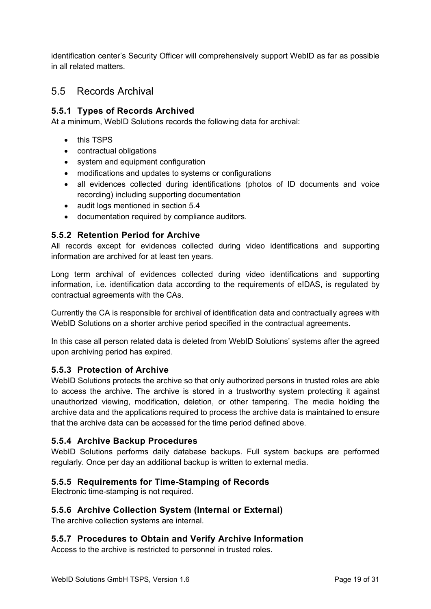identification center's Security Officer will comprehensively support WebID as far as possible in all related matters.

# <span id="page-19-0"></span>5.5 Records Archival

#### <span id="page-19-1"></span>**5.5.1 Types of Records Archived**

At a minimum, WebID Solutions records the following data for archival:

- this TSPS
- contractual obligations
- system and equipment configuration
- modifications and updates to systems or configurations
- all evidences collected during identifications (photos of ID documents and voice recording) including supporting documentation
- audit logs mentioned in section [5.4](#page-17-2)
- documentation required by compliance auditors.

#### <span id="page-19-2"></span>**5.5.2 Retention Period for Archive**

All records except for evidences collected during video identifications and supporting information are archived for at least ten years.

Long term archival of evidences collected during video identifications and supporting information, i.e. identification data according to the requirements of eIDAS, is regulated by contractual agreements with the CAs.

Currently the CA is responsible for archival of identification data and contractually agrees with WebID Solutions on a shorter archive period specified in the contractual agreements.

In this case all person related data is deleted from WebID Solutions' systems after the agreed upon archiving period has expired.

#### <span id="page-19-3"></span>**5.5.3 Protection of Archive**

WebID Solutions protects the archive so that only authorized persons in trusted roles are able to access the archive. The archive is stored in a trustworthy system protecting it against unauthorized viewing, modification, deletion, or other tampering. The media holding the archive data and the applications required to process the archive data is maintained to ensure that the archive data can be accessed for the time period defined above.

#### <span id="page-19-4"></span>**5.5.4 Archive Backup Procedures**

WebID Solutions performs daily database backups. Full system backups are performed regularly. Once per day an additional backup is written to external media.

#### <span id="page-19-5"></span>**5.5.5 Requirements for Time-Stamping of Records**

Electronic time-stamping is not required.

#### <span id="page-19-6"></span>**5.5.6 Archive Collection System (Internal or External)**

The archive collection systems are internal.

#### <span id="page-19-7"></span>**5.5.7 Procedures to Obtain and Verify Archive Information**

Access to the archive is restricted to personnel in trusted roles.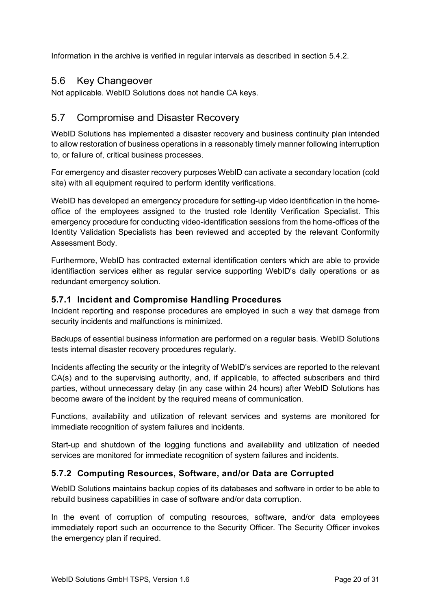Information in the archive is verified in regular intervals as described in section [5.4.2.](#page-17-4)

#### <span id="page-20-0"></span>5.6 Key Changeover

Not applicable. WebID Solutions does not handle CA keys.

## <span id="page-20-1"></span>5.7 Compromise and Disaster Recovery

WebID Solutions has implemented a disaster recovery and business continuity plan intended to allow restoration of business operations in a reasonably timely manner following interruption to, or failure of, critical business processes.

For emergency and disaster recovery purposes WebID can activate a secondary location (cold site) with all equipment required to perform identity verifications.

WebID has developed an emergency procedure for setting-up video identification in the homeoffice of the employees assigned to the trusted role Identity Verification Specialist. This emergency procedure for conducting video-identification sessions from the home-offices of the Identity Validation Specialists has been reviewed and accepted by the relevant Conformity Assessment Body.

Furthermore, WebID has contracted external identification centers which are able to provide identifiaction services either as regular service supporting WebID's daily operations or as redundant emergency solution.

#### <span id="page-20-2"></span>**5.7.1 Incident and Compromise Handling Procedures**

Incident reporting and response procedures are employed in such a way that damage from security incidents and malfunctions is minimized.

Backups of essential business information are performed on a regular basis. WebID Solutions tests internal disaster recovery procedures regularly.

Incidents affecting the security or the integrity of WebID's services are reported to the relevant CA(s) and to the supervising authority, and, if applicable, to affected subscribers and third parties, without unnecessary delay (in any case within 24 hours) after WebID Solutions has become aware of the incident by the required means of communication.

Functions, availability and utilization of relevant services and systems are monitored for immediate recognition of system failures and incidents.

Start-up and shutdown of the logging functions and availability and utilization of needed services are monitored for immediate recognition of system failures and incidents.

#### <span id="page-20-3"></span>**5.7.2 Computing Resources, Software, and/or Data are Corrupted**

WebID Solutions maintains backup copies of its databases and software in order to be able to rebuild business capabilities in case of software and/or data corruption.

In the event of corruption of computing resources, software, and/or data employees immediately report such an occurrence to the Security Officer. The Security Officer invokes the emergency plan if required.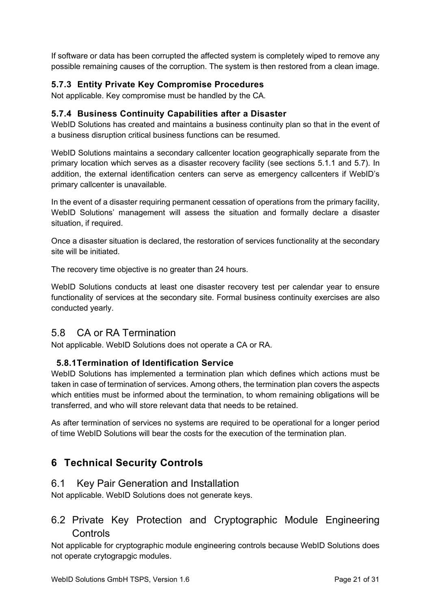If software or data has been corrupted the affected system is completely wiped to remove any possible remaining causes of the corruption. The system is then restored from a clean image.

## <span id="page-21-0"></span>**5.7.3 Entity Private Key Compromise Procedures**

Not applicable. Key compromise must be handled by the CA.

#### <span id="page-21-1"></span>**5.7.4 Business Continuity Capabilities after a Disaster**

WebID Solutions has created and maintains a business continuity plan so that in the event of a business disruption critical business functions can be resumed.

WebID Solutions maintains a secondary callcenter location geographically separate from the primary location which serves as a disaster recovery facility (see sections [5.1.1](#page-13-1) and [5.7\)](#page-20-1). In addition, the external identification centers can serve as emergency callcenters if WebID's primary callcenter is unavailable.

In the event of a disaster requiring permanent cessation of operations from the primary facility, WebID Solutions' management will assess the situation and formally declare a disaster situation, if required.

Once a disaster situation is declared, the restoration of services functionality at the secondary site will be initiated.

The recovery time objective is no greater than 24 hours.

WebID Solutions conducts at least one disaster recovery test per calendar year to ensure functionality of services at the secondary site. Formal business continuity exercises are also conducted yearly.

## <span id="page-21-2"></span>5.8 CA or RA Termination

Not applicable. WebID Solutions does not operate a CA or RA.

#### <span id="page-21-3"></span>**5.8.1Termination of Identification Service**

WebID Solutions has implemented a termination plan which defines which actions must be taken in case of termination of services. Among others, the termination plan covers the aspects which entities must be informed about the termination, to whom remaining obligations will be transferred, and who will store relevant data that needs to be retained.

As after termination of services no systems are required to be operational for a longer period of time WebID Solutions will bear the costs for the execution of the termination plan.

# <span id="page-21-4"></span>**6 Technical Security Controls**

#### <span id="page-21-5"></span>6.1 Key Pair Generation and Installation

Not applicable. WebID Solutions does not generate keys.

# <span id="page-21-6"></span>6.2 Private Key Protection and Cryptographic Module Engineering **Controls**

Not applicable for cryptographic module engineering controls because WebID Solutions does not operate crytograpgic modules.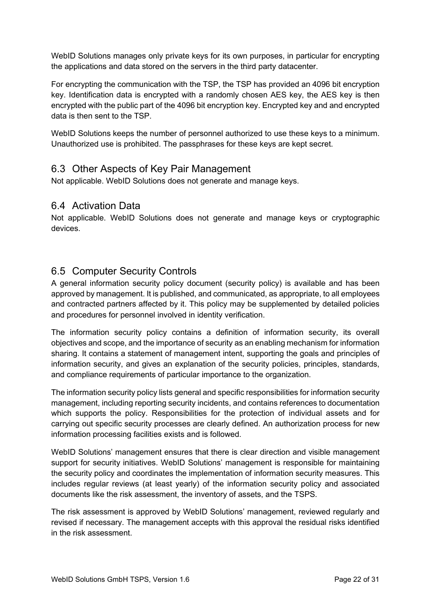WebID Solutions manages only private keys for its own purposes, in particular for encrypting the applications and data stored on the servers in the third party datacenter.

For encrypting the communication with the TSP, the TSP has provided an 4096 bit encryption key. Identification data is encrypted with a randomly chosen AES key, the AES key is then encrypted with the public part of the 4096 bit encryption key. Encrypted key and and encrypted data is then sent to the TSP.

WebID Solutions keeps the number of personnel authorized to use these keys to a minimum. Unauthorized use is prohibited. The passphrases for these keys are kept secret.

## <span id="page-22-0"></span>6.3 Other Aspects of Key Pair Management

Not applicable. WebID Solutions does not generate and manage keys.

## <span id="page-22-1"></span>6.4 Activation Data

Not applicable. WebID Solutions does not generate and manage keys or cryptographic devices.

## <span id="page-22-2"></span>6.5 Computer Security Controls

A general information security policy document (security policy) is available and has been approved by management. It is published, and communicated, as appropriate, to all employees and contracted partners affected by it. This policy may be supplemented by detailed policies and procedures for personnel involved in identity verification.

The information security policy contains a definition of information security, its overall objectives and scope, and the importance of security as an enabling mechanism for information sharing. It contains a statement of management intent, supporting the goals and principles of information security, and gives an explanation of the security policies, principles, standards, and compliance requirements of particular importance to the organization.

The information security policy lists general and specific responsibilities for information security management, including reporting security incidents, and contains references to documentation which supports the policy. Responsibilities for the protection of individual assets and for carrying out specific security processes are clearly defined. An authorization process for new information processing facilities exists and is followed.

WebID Solutions' management ensures that there is clear direction and visible management support for security initiatives. WebID Solutions' management is responsible for maintaining the security policy and coordinates the implementation of information security measures. This includes regular reviews (at least yearly) of the information security policy and associated documents like the risk assessment, the inventory of assets, and the TSPS.

The risk assessment is approved by WebID Solutions' management, reviewed regularly and revised if necessary. The management accepts with this approval the residual risks identified in the risk assessment.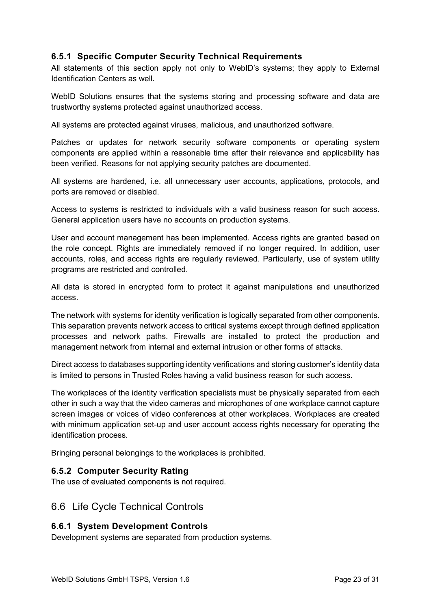#### <span id="page-23-0"></span>**6.5.1 Specific Computer Security Technical Requirements**

All statements of this section apply not only to WebID's systems; they apply to External Identification Centers as well.

WebID Solutions ensures that the systems storing and processing software and data are trustworthy systems protected against unauthorized access.

All systems are protected against viruses, malicious, and unauthorized software.

Patches or updates for network security software components or operating system components are applied within a reasonable time after their relevance and applicability has been verified. Reasons for not applying security patches are documented.

All systems are hardened, i.e. all unnecessary user accounts, applications, protocols, and ports are removed or disabled.

Access to systems is restricted to individuals with a valid business reason for such access. General application users have no accounts on production systems.

User and account management has been implemented. Access rights are granted based on the role concept. Rights are immediately removed if no longer required. In addition, user accounts, roles, and access rights are regularly reviewed. Particularly, use of system utility programs are restricted and controlled.

All data is stored in encrypted form to protect it against manipulations and unauthorized access.

The network with systems for identity verification is logically separated from other components. This separation prevents network access to critical systems except through defined application processes and network paths. Firewalls are installed to protect the production and management network from internal and external intrusion or other forms of attacks.

Direct access to databases supporting identity verifications and storing customer's identity data is limited to persons in Trusted Roles having a valid business reason for such access.

The workplaces of the identity verification specialists must be physically separated from each other in such a way that the video cameras and microphones of one workplace cannot capture screen images or voices of video conferences at other workplaces. Workplaces are created with minimum application set-up and user account access rights necessary for operating the identification process.

Bringing personal belongings to the workplaces is prohibited.

#### <span id="page-23-1"></span>**6.5.2 Computer Security Rating**

The use of evaluated components is not required.

#### <span id="page-23-2"></span>6.6 Life Cycle Technical Controls

#### <span id="page-23-3"></span>**6.6.1 System Development Controls**

Development systems are separated from production systems.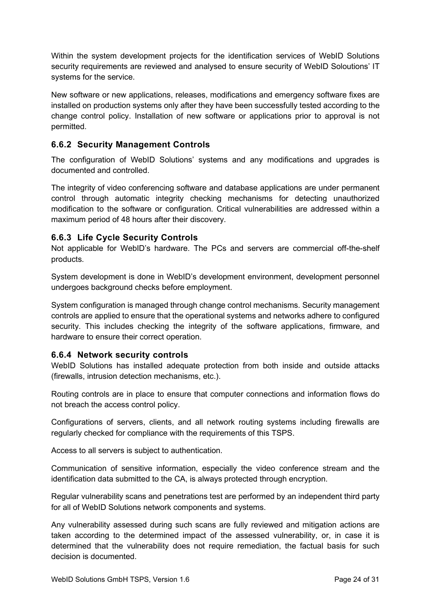Within the system development projects for the identification services of WebID Solutions security requirements are reviewed and analysed to ensure security of WebID Soloutions' IT systems for the service.

New software or new applications, releases, modifications and emergency software fixes are installed on production systems only after they have been successfully tested according to the change control policy. Installation of new software or applications prior to approval is not permitted.

## <span id="page-24-0"></span>**6.6.2 Security Management Controls**

The configuration of WebID Solutions' systems and any modifications and upgrades is documented and controlled.

The integrity of video conferencing software and database applications are under permanent control through automatic integrity checking mechanisms for detecting unauthorized modification to the software or configuration. Critical vulnerabilities are addressed within a maximum period of 48 hours after their discovery.

#### <span id="page-24-1"></span>**6.6.3 Life Cycle Security Controls**

Not applicable for WebID's hardware. The PCs and servers are commercial off-the-shelf products.

System development is done in WebID's development environment, development personnel undergoes background checks before employment.

System configuration is managed through change control mechanisms. Security management controls are applied to ensure that the operational systems and networks adhere to configured security. This includes checking the integrity of the software applications, firmware, and hardware to ensure their correct operation.

#### <span id="page-24-2"></span>**6.6.4 Network security controls**

WebID Solutions has installed adequate protection from both inside and outside attacks (firewalls, intrusion detection mechanisms, etc.).

Routing controls are in place to ensure that computer connections and information flows do not breach the access control policy.

Configurations of servers, clients, and all network routing systems including firewalls are regularly checked for compliance with the requirements of this TSPS.

Access to all servers is subject to authentication.

Communication of sensitive information, especially the video conference stream and the identification data submitted to the CA, is always protected through encryption.

Regular vulnerability scans and penetrations test are performed by an independent third party for all of WebID Solutions network components and systems.

Any vulnerability assessed during such scans are fully reviewed and mitigation actions are taken according to the determined impact of the assessed vulnerability, or, in case it is determined that the vulnerability does not require remediation, the factual basis for such decision is documented.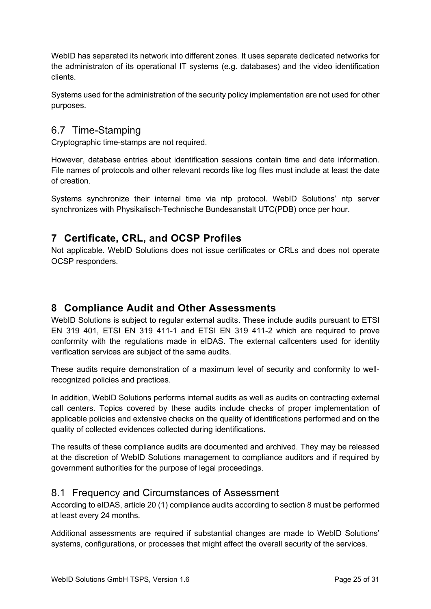WebID has separated its network into different zones. It uses separate dedicated networks for the administraton of its operational IT systems (e.g. databases) and the video identification clients.

Systems used for the administration of the security policy implementation are not used for other purposes.

## <span id="page-25-0"></span>6.7 Time-Stamping

Cryptographic time-stamps are not required.

However, database entries about identification sessions contain time and date information. File names of protocols and other relevant records like log files must include at least the date of creation.

Systems synchronize their internal time via ntp protocol. WebID Solutions' ntp server synchronizes with Physikalisch-Technische Bundesanstalt UTC(PDB) once per hour.

# <span id="page-25-1"></span>**7 Certificate, CRL, and OCSP Profiles**

Not applicable. WebID Solutions does not issue certificates or CRLs and does not operate OCSP responders.

# <span id="page-25-2"></span>**8 Compliance Audit and Other Assessments**

WebID Solutions is subject to regular external audits. These include audits pursuant to ETSI EN 319 401, ETSI EN 319 411-1 and ETSI EN 319 411-2 which are required to prove conformity with the regulations made in eIDAS. The external callcenters used for identity verification services are subject of the same audits.

These audits require demonstration of a maximum level of security and conformity to wellrecognized policies and practices.

In addition, WebID Solutions performs internal audits as well as audits on contracting external call centers. Topics covered by these audits include checks of proper implementation of applicable policies and extensive checks on the quality of identifications performed and on the quality of collected evidences collected during identifications.

The results of these compliance audits are documented and archived. They may be released at the discretion of WebID Solutions management to compliance auditors and if required by government authorities for the purpose of legal proceedings.

#### <span id="page-25-3"></span>8.1 Frequency and Circumstances of Assessment

According to eIDAS, article 20 (1) compliance audits according to section [8](#page-25-2) must be performed at least every 24 months.

Additional assessments are required if substantial changes are made to WebID Solutions' systems, configurations, or processes that might affect the overall security of the services.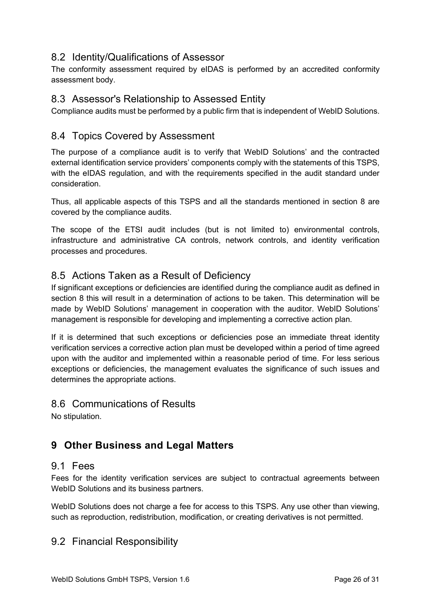## <span id="page-26-0"></span>8.2 Identity/Qualifications of Assessor

The conformity assessment required by eIDAS is performed by an accredited conformity assessment body.

## <span id="page-26-1"></span>8.3 Assessor's Relationship to Assessed Entity

Compliance audits must be performed by a public firm that is independent of WebID Solutions.

## <span id="page-26-2"></span>8.4 Topics Covered by Assessment

The purpose of a compliance audit is to verify that WebID Solutions' and the contracted external identification service providers' components comply with the statements of this TSPS, with the eIDAS regulation, and with the requirements specified in the audit standard under consideration.

Thus, all applicable aspects of this TSPS and all the standards mentioned in section [8](#page-25-2) are covered by the compliance audits.

The scope of the ETSI audit includes (but is not limited to) environmental controls, infrastructure and administrative CA controls, network controls, and identity verification processes and procedures.

## <span id="page-26-3"></span>8.5 Actions Taken as a Result of Deficiency

If significant exceptions or deficiencies are identified during the compliance audit as defined in section [8](#page-25-2) this will result in a determination of actions to be taken. This determination will be made by WebID Solutions' management in cooperation with the auditor. WebID Solutions' management is responsible for developing and implementing a corrective action plan.

If it is determined that such exceptions or deficiencies pose an immediate threat identity verification services a corrective action plan must be developed within a period of time agreed upon with the auditor and implemented within a reasonable period of time. For less serious exceptions or deficiencies, the management evaluates the significance of such issues and determines the appropriate actions.

## <span id="page-26-4"></span>8.6 Communications of Results

No stipulation.

# <span id="page-26-5"></span>**9 Other Business and Legal Matters**

#### <span id="page-26-6"></span>9.1 Fees

Fees for the identity verification services are subject to contractual agreements between WebID Solutions and its business partners.

WebID Solutions does not charge a fee for access to this TSPS. Any use other than viewing, such as reproduction, redistribution, modification, or creating derivatives is not permitted.

#### <span id="page-26-7"></span>9.2 Financial Responsibility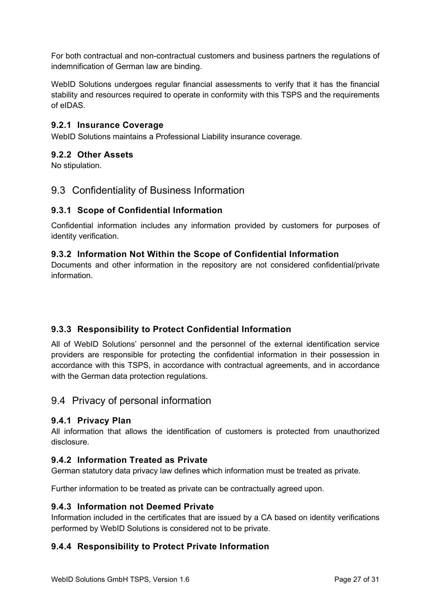For both contractual and non-contractual customers and business partners the regulations of indemnification of German law are binding.

WebID Solutions undergoes regular financial assessments to verify that it has the financial stability and resources required to operate in conformity with this TSPS and the requirements of eIDAS.

#### <span id="page-27-0"></span>**9.2.1 Insurance Coverage**

WebID Solutions maintains a Professional Liability insurance coverage.

#### <span id="page-27-1"></span>**9.2.2 Other Assets**

No stipulation.

#### <span id="page-27-2"></span>9.3 Confidentiality of Business Information

#### <span id="page-27-3"></span>**9.3.1 Scope of Confidential Information**

Confidential information includes any information provided by customers for purposes of identity verification.

#### <span id="page-27-4"></span>**9.3.2 Information Not Within the Scope of Confidential Information**

Documents and other information in the repository are not considered confidential/private information.

#### <span id="page-27-5"></span>**9.3.3 Responsibility to Protect Confidential Information**

All of WebID Solutions' personnel and the personnel of the external identification service providers are responsible for protecting the confidential information in their possession in accordance with this TSPS, in accordance with contractual agreements, and in accordance with the German data protection regulations.

#### <span id="page-27-6"></span>9.4 Privacy of personal information

#### <span id="page-27-7"></span>**9.4.1 Privacy Plan**

All information that allows the identification of customers is protected from unauthorized disclosure.

#### <span id="page-27-8"></span>**9.4.2 Information Treated as Private**

German statutory data privacy law defines which information must be treated as private.

Further information to be treated as private can be contractually agreed upon.

#### <span id="page-27-9"></span>**9.4.3 Information not Deemed Private**

Information included in the certificates that are issued by a CA based on identity verifications performed by WebID Solutions is considered not to be private.

#### <span id="page-27-10"></span>**9.4.4 Responsibility to Protect Private Information**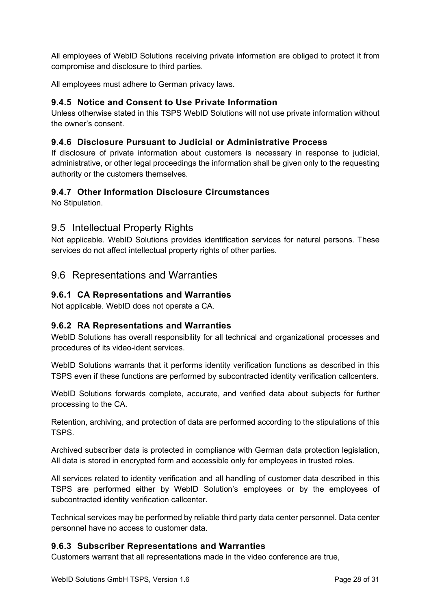All employees of WebID Solutions receiving private information are obliged to protect it from compromise and disclosure to third parties.

All employees must adhere to German privacy laws.

#### <span id="page-28-0"></span>**9.4.5 Notice and Consent to Use Private Information**

Unless otherwise stated in this TSPS WebID Solutions will not use private information without the owner's consent.

#### <span id="page-28-1"></span>**9.4.6 Disclosure Pursuant to Judicial or Administrative Process**

If disclosure of private information about customers is necessary in response to judicial, administrative, or other legal proceedings the information shall be given only to the requesting authority or the customers themselves.

#### <span id="page-28-2"></span>**9.4.7 Other Information Disclosure Circumstances**

No Stipulation.

#### <span id="page-28-3"></span>9.5 Intellectual Property Rights

Not applicable. WebID Solutions provides identification services for natural persons. These services do not affect intellectual property rights of other parties.

## <span id="page-28-4"></span>9.6 Representations and Warranties

#### <span id="page-28-5"></span>**9.6.1 CA Representations and Warranties**

Not applicable. WebID does not operate a CA.

#### <span id="page-28-6"></span>**9.6.2 RA Representations and Warranties**

WebID Solutions has overall responsibility for all technical and organizational processes and procedures of its video-ident services.

WebID Solutions warrants that it performs identity verification functions as described in this TSPS even if these functions are performed by subcontracted identity verification callcenters.

WebID Solutions forwards complete, accurate, and verified data about subjects for further processing to the CA.

Retention, archiving, and protection of data are performed according to the stipulations of this TSPS.

Archived subscriber data is protected in compliance with German data protection legislation, All data is stored in encrypted form and accessible only for employees in trusted roles.

All services related to identity verification and all handling of customer data described in this TSPS are performed either by WebID Solution's employees or by the employees of subcontracted identity verification callcenter.

Technical services may be performed by reliable third party data center personnel. Data center personnel have no access to customer data.

#### <span id="page-28-7"></span>**9.6.3 Subscriber Representations and Warranties**

Customers warrant that all representations made in the video conference are true,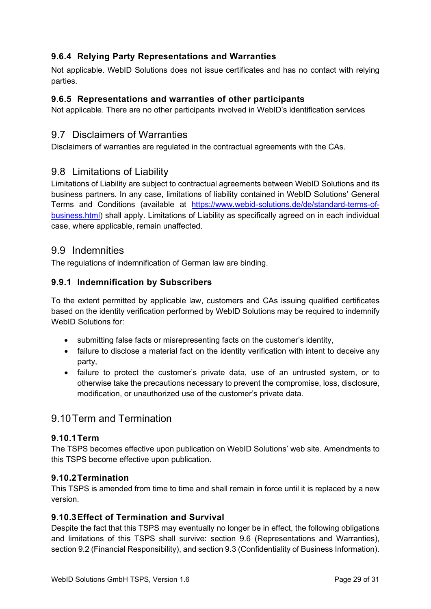## <span id="page-29-0"></span>**9.6.4 Relying Party Representations and Warranties**

Not applicable. WebID Solutions does not issue certificates and has no contact with relying parties.

#### <span id="page-29-1"></span>**9.6.5 Representations and warranties of other participants**

Not applicable. There are no other participants involved in WebID's identification services

## <span id="page-29-2"></span>9.7 Disclaimers of Warranties

Disclaimers of warranties are regulated in the contractual agreements with the CAs.

## <span id="page-29-3"></span>9.8 Limitations of Liability

Limitations of Liability are subject to contractual agreements between WebID Solutions and its business partners. In any case, limitations of liability contained in WebID Solutions' General Terms and Conditions (available at https://www.webid-solutions.de/de/standard-terms-ofbusiness.html) shall apply. Limitations of Liability as specifically agreed on in each individual case, where applicable, remain unaffected.

#### <span id="page-29-4"></span>9.9 Indemnities

The regulations of indemnification of German law are binding.

#### <span id="page-29-5"></span>**9.9.1 Indemnification by Subscribers**

To the extent permitted by applicable law, customers and CAs issuing qualified certificates based on the identity verification performed by WebID Solutions may be required to indemnify WebID Solutions for:

- submitting false facts or misrepresenting facts on the customer's identity,
- failure to disclose a material fact on the identity verification with intent to deceive any party,
- failure to protect the customer's private data, use of an untrusted system, or to otherwise take the precautions necessary to prevent the compromise, loss, disclosure, modification, or unauthorized use of the customer's private data.

# <span id="page-29-6"></span>9.10Term and Termination

#### <span id="page-29-7"></span>**9.10.1Term**

The TSPS becomes effective upon publication on WebID Solutions' web site. Amendments to this TSPS become effective upon publication.

#### <span id="page-29-8"></span>**9.10.2Termination**

This TSPS is amended from time to time and shall remain in force until it is replaced by a new version.

#### <span id="page-29-9"></span>**9.10.3Effect of Termination and Survival**

Despite the fact that this TSPS may eventually no longer be in effect, the following obligations and limitations of this TSPS shall survive: section 9.6 (Representations and Warranties), section 9.2 (Financial Responsibility), and section 9.3 (Confidentiality of Business Information).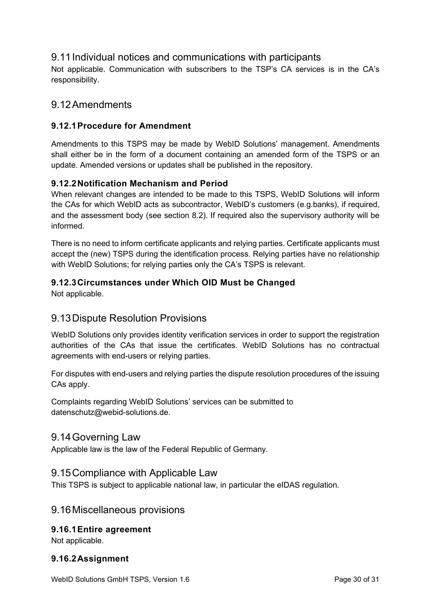## <span id="page-30-0"></span>9.11Individual notices and communications with participants

Not applicable. Communication with subscribers to the TSP's CA services is in the CA's responsibility.

## <span id="page-30-1"></span>9.12Amendments

## <span id="page-30-2"></span>**9.12.1Procedure for Amendment**

Amendments to this TSPS may be made by WebID Solutions' management. Amendments shall either be in the form of a document containing an amended form of the TSPS or an update. Amended versions or updates shall be published in the repository.

#### <span id="page-30-3"></span>**9.12.2Notification Mechanism and Period**

When relevant changes are intended to be made to this TSPS, WebID Solutions will inform the CAs for which WebID acts as subcontractor, WebID's customers (e.g.banks), if required, and the assessment body (see section 8.2). If required also the supervisory authority will be informed.

There is no need to inform certificate applicants and relying parties. Certificate applicants must accept the (new) TSPS during the identification process. Relying parties have no relationship with WebID Solutions; for relying parties only the CA's TSPS is relevant.

#### <span id="page-30-4"></span>**9.12.3Circumstances under Which OID Must be Changed**

Not applicable.

## <span id="page-30-5"></span>9.13Dispute Resolution Provisions

WebID Solutions only provides identity verification services in order to support the registration authorities of the CAs that issue the certificates. WebID Solutions has no contractual agreements with end-users or relying parties.

For disputes with end-users and relying parties the dispute resolution procedures of the issuing CAs apply.

Complaints regarding WebID Solutions' services can be submitted to datenschutz@webid-solutions.de.

#### <span id="page-30-6"></span>9.14Governing Law

Applicable law is the law of the Federal Republic of Germany.

#### <span id="page-30-7"></span>9.15Compliance with Applicable Law

This TSPS is subject to applicable national law, in particular the eIDAS regulation.

#### <span id="page-30-8"></span>9.16Miscellaneous provisions

#### <span id="page-30-9"></span>**9.16.1Entire agreement**

Not applicable.

#### <span id="page-30-10"></span>**9.16.2Assignment**